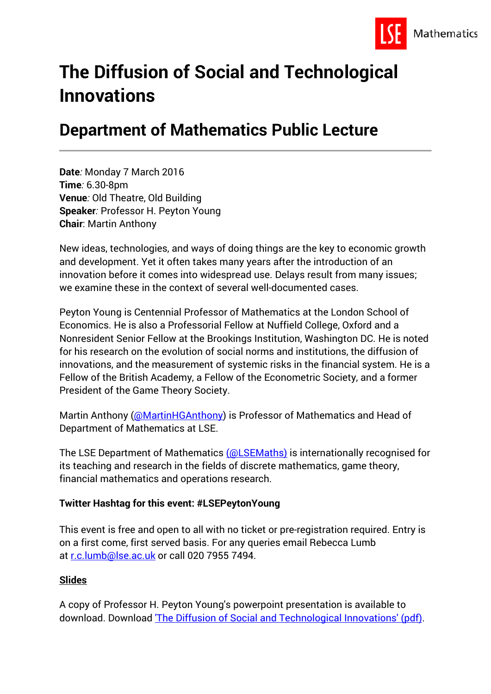

# **The Diffusion of Social and Technological Innovations**

# **Department of Mathematics Public Lecture**

**Date***:* Monday 7 March 2016 **Time***:* 6.30-8pm **Venue***:* Old Theatre, Old Building **Speaker***:* Professor H. Peyton Young **Chair**: Martin Anthony

New ideas, technologies, and ways of doing things are the key to economic growth and development. Yet it often takes many years after the introduction of an innovation before it comes into widespread use. Delays result from many issues; we examine these in the context of several well-documented cases.

Peyton Young is Centennial Professor of Mathematics at the London School of Economics. He is also a Professorial Fellow at Nuffield College, Oxford and a Nonresident Senior Fellow at the Brookings Institution, Washington DC. He is noted for his research on the evolution of social norms and institutions, the diffusion of innovations, and the measurement of systemic risks in the financial system. He is a Fellow of the British Academy, a Fellow of the Econometric Society, and a former President of the Game Theory Society.

Martin Anthony [\(@MartinHGAnthony\)](https://twitter.com/martinhganthony) is Professor of Mathematics and Head of Department of Mathematics at LSE.

The LSE Department of Mathematics [\(@LSEMaths\)](https://twitter.com/lsemaths) is internationally recognised for its teaching and research in the fields of discrete mathematics, game theory, financial mathematics and operations research.

### **Twitter Hashtag for this event: #LSEPeytonYoung**

This event is free and open to all with no ticket or pre-registration required. Entry is on a first come, first served basis. For any queries email Rebecca Lumb at [r.c.lumb@lse.ac.uk](mailto:r.c.lumb@lse.ac.uk) or call 020 7955 7494.

#### **Slides**

A copy of Professor H. Peyton Young's powerpoint presentation is available to download. Download ['The Diffusion of Social and Technological Innovations' \(pdf\).](http://www.lse.ac.uk/website-archive/publicEvents/pdf/2016-LT/20160307-H-Peyton-Young-PPT.pdf)